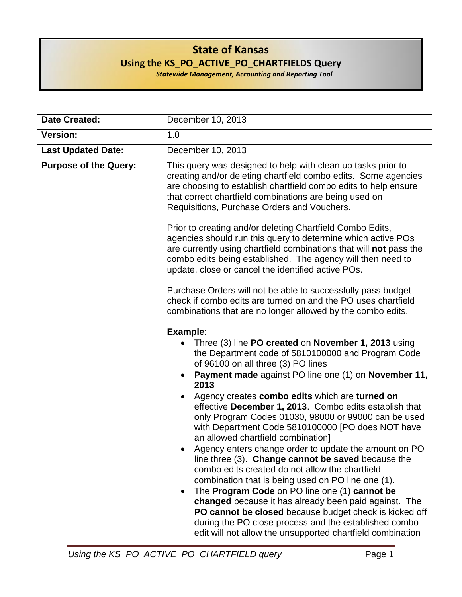## **State of Kansas Using the KS\_PO\_ACTIVE\_PO\_CHARTFIELDS Query**

*Statewide Management, Accounting and Reporting Tool*

| <b>Date Created:</b>         | December 10, 2013                                                                                                                                                                                                                                                                                                                                                                                                                                                                                                                                                                                                                                                                                                                                                                                                                                                                                                                                                                                                                       |  |
|------------------------------|-----------------------------------------------------------------------------------------------------------------------------------------------------------------------------------------------------------------------------------------------------------------------------------------------------------------------------------------------------------------------------------------------------------------------------------------------------------------------------------------------------------------------------------------------------------------------------------------------------------------------------------------------------------------------------------------------------------------------------------------------------------------------------------------------------------------------------------------------------------------------------------------------------------------------------------------------------------------------------------------------------------------------------------------|--|
| <b>Version:</b>              | 1.0                                                                                                                                                                                                                                                                                                                                                                                                                                                                                                                                                                                                                                                                                                                                                                                                                                                                                                                                                                                                                                     |  |
| <b>Last Updated Date:</b>    | December 10, 2013                                                                                                                                                                                                                                                                                                                                                                                                                                                                                                                                                                                                                                                                                                                                                                                                                                                                                                                                                                                                                       |  |
| <b>Purpose of the Query:</b> | This query was designed to help with clean up tasks prior to<br>creating and/or deleting chartfield combo edits. Some agencies<br>are choosing to establish chartfield combo edits to help ensure<br>that correct chartfield combinations are being used on<br>Requisitions, Purchase Orders and Vouchers.                                                                                                                                                                                                                                                                                                                                                                                                                                                                                                                                                                                                                                                                                                                              |  |
|                              | Prior to creating and/or deleting Chartfield Combo Edits,<br>agencies should run this query to determine which active POs<br>are currently using chartfield combinations that will not pass the<br>combo edits being established. The agency will then need to<br>update, close or cancel the identified active POs.                                                                                                                                                                                                                                                                                                                                                                                                                                                                                                                                                                                                                                                                                                                    |  |
|                              | Purchase Orders will not be able to successfully pass budget<br>check if combo edits are turned on and the PO uses chartfield<br>combinations that are no longer allowed by the combo edits.                                                                                                                                                                                                                                                                                                                                                                                                                                                                                                                                                                                                                                                                                                                                                                                                                                            |  |
|                              | Example:<br>Three (3) line PO created on November 1, 2013 using<br>the Department code of 5810100000 and Program Code<br>of 96100 on all three (3) PO lines<br>Payment made against PO line one (1) on November 11,<br>$\bullet$<br>2013<br>Agency creates combo edits which are turned on<br>effective December 1, 2013. Combo edits establish that<br>only Program Codes 01030, 98000 or 99000 can be used<br>with Department Code 5810100000 [PO does NOT have<br>an allowed chartfield combination]<br>Agency enters change order to update the amount on PO<br>line three (3). Change cannot be saved because the<br>combo edits created do not allow the chartfield<br>combination that is being used on PO line one (1).<br>The Program Code on PO line one (1) cannot be<br>$\bullet$<br>changed because it has already been paid against. The<br>PO cannot be closed because budget check is kicked off<br>during the PO close process and the established combo<br>edit will not allow the unsupported chartfield combination |  |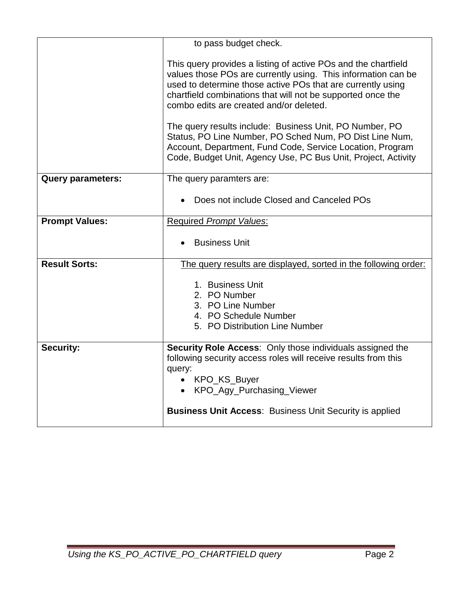|                          | to pass budget check.                                                                                                                                                                                                                                                                                    |  |
|--------------------------|----------------------------------------------------------------------------------------------------------------------------------------------------------------------------------------------------------------------------------------------------------------------------------------------------------|--|
|                          | This query provides a listing of active POs and the chartfield<br>values those POs are currently using. This information can be<br>used to determine those active POs that are currently using<br>chartfield combinations that will not be supported once the<br>combo edits are created and/or deleted. |  |
|                          | The query results include: Business Unit, PO Number, PO<br>Status, PO Line Number, PO Sched Num, PO Dist Line Num,<br>Account, Department, Fund Code, Service Location, Program<br>Code, Budget Unit, Agency Use, PC Bus Unit, Project, Activity                                                         |  |
| <b>Query parameters:</b> | The query paramters are:                                                                                                                                                                                                                                                                                 |  |
|                          | Does not include Closed and Canceled POs                                                                                                                                                                                                                                                                 |  |
| <b>Prompt Values:</b>    | <b>Required Prompt Values:</b>                                                                                                                                                                                                                                                                           |  |
|                          | <b>Business Unit</b>                                                                                                                                                                                                                                                                                     |  |
| <b>Result Sorts:</b>     | The query results are displayed, sorted in the following order:                                                                                                                                                                                                                                          |  |
|                          | 1. Business Unit<br>2. PO Number<br>3. PO Line Number<br>4. PO Schedule Number<br>5. PO Distribution Line Number                                                                                                                                                                                         |  |
| <b>Security:</b>         | Security Role Access: Only those individuals assigned the<br>following security access roles will receive results from this<br>query:<br>• KPO_KS_Buyer<br>KPO_Agy_Purchasing_Viewer<br>$\bullet$<br><b>Business Unit Access: Business Unit Security is applied</b>                                      |  |
|                          |                                                                                                                                                                                                                                                                                                          |  |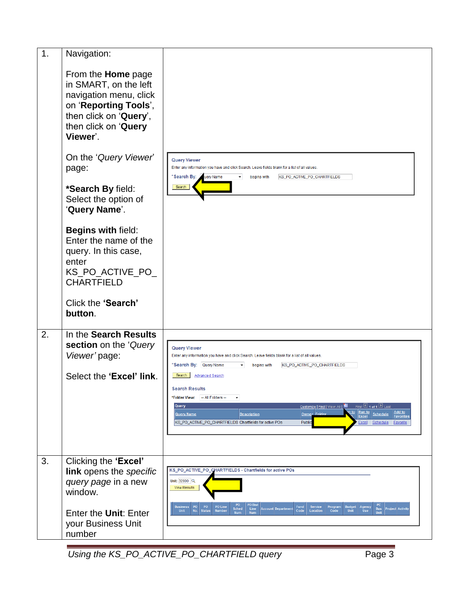| 1. | Navigation:                                                                                                                                                         |                                                                                                                                                                                                                                                                                                                               |
|----|---------------------------------------------------------------------------------------------------------------------------------------------------------------------|-------------------------------------------------------------------------------------------------------------------------------------------------------------------------------------------------------------------------------------------------------------------------------------------------------------------------------|
|    | From the <b>Home</b> page<br>in SMART, on the left<br>navigation menu, click<br>on 'Reporting Tools',<br>then click on 'Query',<br>then click on 'Query<br>Viewer'. |                                                                                                                                                                                                                                                                                                                               |
|    | On the 'Query Viewer'<br>page:                                                                                                                                      | <b>Query Viewer</b><br>Enter any information you have and click Search. Leave fields blank for a list of all values.                                                                                                                                                                                                          |
|    | *Search By field:<br>Select the option of<br>'Query Name'.                                                                                                          | *Search By:<br>uery Name<br>begins with<br>KS_PO_ACTIVE_PO_CHARTFIELDS<br>Search                                                                                                                                                                                                                                              |
|    | Begins with field:<br>Enter the name of the<br>query. In this case,<br>enter<br>KS_PO_ACTIVE_PO_<br><b>CHARTFIELD</b>                                               |                                                                                                                                                                                                                                                                                                                               |
|    | Click the 'Search'<br>button.                                                                                                                                       |                                                                                                                                                                                                                                                                                                                               |
| 2. | In the Search Results<br>section on the 'Query<br>Viewer' page:                                                                                                     | <b>Query Viewer</b><br>Enter any information you have and click Search. Leave fields blank for a list of all values.<br>*Search By: Query Name<br>begins with<br>KS_PO_ACTIVE_PO_CHARTFIELDS                                                                                                                                  |
|    | Select the 'Excel' link.                                                                                                                                            | Search  <br><b>Advanced Search</b><br><b>Search Results</b><br>*Folder View: - All Folders --                                                                                                                                                                                                                                 |
|    |                                                                                                                                                                     | Customize   Find   View All   New All   First   1 of 1   Last<br>Query<br>Run to<br>n to<br>Add to<br>Owner Folder<br><b>Schedule</b><br><b>Query Name</b><br><b>Description</b><br><b>Excel</b><br><b>Favorites</b><br>KS_PO_ACTIVE_PO_CHARTFIELDS Chartfields for active POs<br>Public<br>Excel Schedule<br><b>Favorite</b> |
| 3. | Clicking the 'Excel'<br>link opens the specific                                                                                                                     | KS_PO_ACTIVE_PO_CHARTFIELDS - Chartfields for active POs                                                                                                                                                                                                                                                                      |
|    | query page in a new<br>window.                                                                                                                                      | Unit: 32800 Q<br><b>View Results</b>                                                                                                                                                                                                                                                                                          |
|    | Enter the Unit: Enter<br>your Business Unit<br>number                                                                                                               | PO Dist<br>PO<br>PO Line<br>Business $ P0 $ PO<br>Service<br>Program<br><b>Budget</b>   Agency<br>Fund<br>Sched<br>Line<br><b>Bus</b><br><b>Project Activity</b><br>Account Departmen<br>No.<br><b>Status</b><br><b>Number</b><br>Code<br>Location<br><b>Unit</b><br>Use<br>Unit<br>Code<br>Unit<br>Num<br><b>Num</b>         |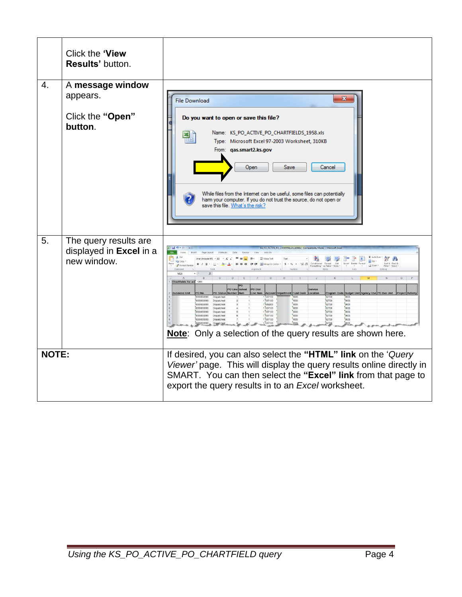|              | Click the 'View<br>Results' button.                             |                                                                                                                                                                                                                                                                                                                                                                                                                                                                                                                                                                                                                                                                                                                                                                                                                                                                                    |
|--------------|-----------------------------------------------------------------|------------------------------------------------------------------------------------------------------------------------------------------------------------------------------------------------------------------------------------------------------------------------------------------------------------------------------------------------------------------------------------------------------------------------------------------------------------------------------------------------------------------------------------------------------------------------------------------------------------------------------------------------------------------------------------------------------------------------------------------------------------------------------------------------------------------------------------------------------------------------------------|
| 4.           | A message window<br>appears.                                    | $\mathbf{x}$<br><b>File Download</b>                                                                                                                                                                                                                                                                                                                                                                                                                                                                                                                                                                                                                                                                                                                                                                                                                                               |
|              | Click the "Open"<br>button.                                     | Do you want to open or save this file?<br>Name: KS_PO_ACTIVE_PO_CHARTFIELDS_1958.xls<br>≊F<br>Type: Microsoft Excel 97-2003 Worksheet, 310KB<br>From: qas.smart2.ks.gov<br>Open<br>Save<br>Cancel<br>While files from the Internet can be useful, some files can potentially<br>ham your computer. If you do not trust the source, do not open or<br>save this file. What's the risk?                                                                                                                                                                                                                                                                                                                                                                                                                                                                                              |
| 5.           | The query results are<br>displayed in Excel in a<br>new window. | E AutoSum<br>計学<br><b>DA</b><br>$\pi$ and<br>4 Fill +<br>Conditional Format Cell Insert Delete Format<br>Formatting v as Table v Styles v v v v v<br>Paste<br>$S - \frac{9}{26}$ , $\frac{93}{26}$<br>Format Painter<br>O Clear<br>Clipboard<br>M26<br>Chartfields for act 1283<br>Fund C<br>PO Sta<br>Program Code Budge<br>537100<br>02700<br>Dispatche<br>000000093<br>0000000093<br>1 637100<br>7000<br>02700<br>Dispatched<br>1000<br>1539200<br>02700<br>0603<br>0000000093<br>Dispatched<br>537100<br>7000<br>02700<br>$\frac{6603}{2000}$<br>000000093<br>Dispatched<br>1537100<br>7000<br>0603<br>02700<br>2000000093<br>Dispatched<br>7000<br>"02700"<br>1 537100<br>0603<br>0000000093<br>Dispatched<br>7000<br>1537100<br>02700<br>690000000<br>Dispatched<br>1637100<br>02700<br>0000000093 Disnatched<br>Note: Only a selection of the query results are shown here. |
| <b>NOTE:</b> |                                                                 | If desired, you can also select the "HTML" link on the 'Query<br>Viewer' page. This will display the query results online directly in<br>SMART. You can then select the "Excel" link from that page to<br>export the query results in to an Excel worksheet.                                                                                                                                                                                                                                                                                                                                                                                                                                                                                                                                                                                                                       |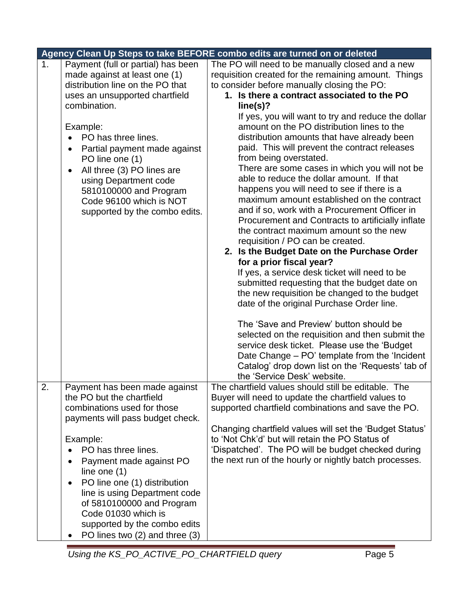|                |                                           | Agency Clean Up Steps to take BEFORE combo edits are turned on or deleted |
|----------------|-------------------------------------------|---------------------------------------------------------------------------|
| 1 <sub>1</sub> | Payment (full or partial) has been        | The PO will need to be manually closed and a new                          |
|                | made against at least one (1)             | requisition created for the remaining amount. Things                      |
|                | distribution line on the PO that          | to consider before manually closing the PO:                               |
|                | uses an unsupported chartfield            | 1. Is there a contract associated to the PO                               |
|                | combination.                              | line(s)?                                                                  |
|                |                                           | If yes, you will want to try and reduce the dollar                        |
|                | Example:                                  | amount on the PO distribution lines to the                                |
|                | PO has three lines.                       | distribution amounts that have already been                               |
|                | Partial payment made against<br>$\bullet$ | paid. This will prevent the contract releases                             |
|                | PO line one (1)                           | from being overstated.                                                    |
|                | All three (3) PO lines are<br>٠           | There are some cases in which you will not be                             |
|                | using Department code                     | able to reduce the dollar amount. If that                                 |
|                | 5810100000 and Program                    | happens you will need to see if there is a                                |
|                | Code 96100 which is NOT                   | maximum amount established on the contract                                |
|                |                                           | and if so, work with a Procurement Officer in                             |
|                | supported by the combo edits.             | Procurement and Contracts to artificially inflate                         |
|                |                                           | the contract maximum amount so the new                                    |
|                |                                           | requisition / PO can be created.                                          |
|                |                                           | 2. Is the Budget Date on the Purchase Order                               |
|                |                                           | for a prior fiscal year?                                                  |
|                |                                           |                                                                           |
|                |                                           | If yes, a service desk ticket will need to be                             |
|                |                                           | submitted requesting that the budget date on                              |
|                |                                           | the new requisition be changed to the budget                              |
|                |                                           | date of the original Purchase Order line.                                 |
|                |                                           | The 'Save and Preview' button should be                                   |
|                |                                           | selected on the requisition and then submit the                           |
|                |                                           | service desk ticket. Please use the 'Budget                               |
|                |                                           | Date Change – PO' template from the 'Incident                             |
|                |                                           | Catalog' drop down list on the 'Requests' tab of                          |
|                |                                           | the 'Service Desk' website.                                               |
| 2.             | Payment has been made against             | The chartfield values should still be editable. The                       |
|                | the PO but the chartfield                 | Buyer will need to update the chartfield values to                        |
|                | combinations used for those               | supported chartfield combinations and save the PO.                        |
|                | payments will pass budget check.          |                                                                           |
|                |                                           | Changing chartfield values will set the 'Budget Status'                   |
|                | Example:                                  | to 'Not Chk'd' but will retain the PO Status of                           |
|                | PO has three lines.                       | 'Dispatched'. The PO will be budget checked during                        |
|                | Payment made against PO                   | the next run of the hourly or nightly batch processes.                    |
|                | line one $(1)$                            |                                                                           |
|                | PO line one (1) distribution              |                                                                           |
|                | line is using Department code             |                                                                           |
|                | of 5810100000 and Program                 |                                                                           |
|                | Code 01030 which is                       |                                                                           |
|                |                                           |                                                                           |
|                | supported by the combo edits              |                                                                           |
|                | PO lines two (2) and three (3)            |                                                                           |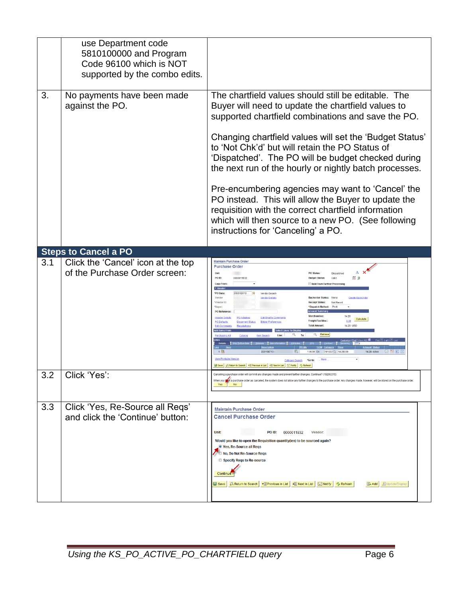|     | use Department code<br>5810100000 and Program<br>Code 96100 which is NOT<br>supported by the combo edits. |                                                                                                                                                                                                                                                                                                                                                                                                                                                                                                                                                                                                                                                              |
|-----|-----------------------------------------------------------------------------------------------------------|--------------------------------------------------------------------------------------------------------------------------------------------------------------------------------------------------------------------------------------------------------------------------------------------------------------------------------------------------------------------------------------------------------------------------------------------------------------------------------------------------------------------------------------------------------------------------------------------------------------------------------------------------------------|
| 3.  | No payments have been made<br>against the PO.                                                             | The chartfield values should still be editable. The<br>Buyer will need to update the chartfield values to<br>supported chartfield combinations and save the PO.<br>Changing chartfield values will set the 'Budget Status'<br>to 'Not Chk'd' but will retain the PO Status of<br>'Dispatched'. The PO will be budget checked during<br>the next run of the hourly or nightly batch processes.<br>Pre-encumbering agencies may want to 'Cancel' the<br>PO instead. This will allow the Buyer to update the<br>requisition with the correct chartfield information<br>which will then source to a new PO. (See following<br>instructions for 'Canceling' a PO. |
|     | <b>Steps to Cancel a PO</b>                                                                               |                                                                                                                                                                                                                                                                                                                                                                                                                                                                                                                                                                                                                                                              |
| 3.1 | Click the 'Cancel' icon at the top<br>of the Purchase Order screen:                                       | <b>Maintain Purchase Order</b><br><b>Purchase Order</b><br>Δ<br><b>Unit:</b><br><b>PO Status</b><br>PO ID:<br>000011932<br>脑 甲<br><b>Copy Fron</b><br><b>Hold From Further Process</b><br>$-$ Hear<br>*PO Date<br>05/31/2013<br>Vendor Search<br>Vendor<br><b>Vendor Details</b><br>None<br><b>Create Back</b><br>"Vendor ID<br>Not Regid<br>"Buver<br><b>PO</b> Refe<br>Calculate<br>aht/Tax/Mise<br>0.00<br>14.28 USD<br>Save A Return to Search   + Previous in List   + Next in List   2 Notify   + Refresh                                                                                                                                              |
| 3.2 | Click 'Yes':                                                                                              | When you mark a purchase order as canceled, the system does not allow any further changes to the purchase order. Any changes made, however, will be stored on the purchase order                                                                                                                                                                                                                                                                                                                                                                                                                                                                             |
| 3.3 | Click 'Yes, Re-Source all Regs'<br>and click the 'Continue' button:                                       | <b>Maintain Purchase Order</b><br><b>Cancel Purchase Order</b><br>Unit:<br>PO ID:<br><b>Vendor:</b><br>0000011932<br>Would you like to open the Requisition quantity(ies) to be sourced again?<br>O Yes, Re-Source all Regs<br><b>No, Do Not Re-Source Reas</b><br>Specify Regs to Re-source<br>Continue<br>+ Previous in List   + B Next in List   ■ Notify<br>Return to Search<br><b>心 Refresh</b><br>图 Add <b>圆 Update/Display</b><br><b>De</b> Save                                                                                                                                                                                                      |